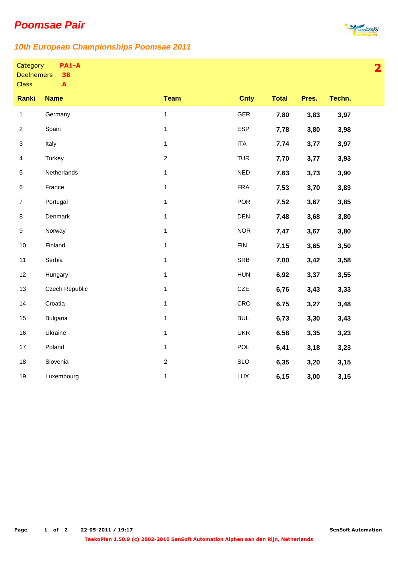## **Poomsae Pair**



**2**

## **10th European Championships Poomsae 2011**

| Category          | PA1-A |
|-------------------|-------|
| <b>Deelnemers</b> | 38    |

**A**

**Class** 

| <b>Ranki</b>              | <b>Name</b>     | <b>Team</b>      | <b>Cnty</b> | <b>Total</b> | Pres. | Techn. |
|---------------------------|-----------------|------------------|-------------|--------------|-------|--------|
| $\mathbf{1}$              | Germany         | $\mathbf 1$      | GER         | 7,80         | 3,83  | 3,97   |
| $\overline{c}$            | Spain           | $\mathbf{1}$     | <b>ESP</b>  | 7,78         | 3,80  | 3,98   |
| $\ensuremath{\mathsf{3}}$ | Italy           | 1                | <b>ITA</b>  | 7,74         | 3,77  | 3,97   |
| $\overline{4}$            | Turkey          | $\boldsymbol{2}$ | <b>TUR</b>  | 7,70         | 3,77  | 3,93   |
| 5                         | Netherlands     | $\mathbf 1$      | <b>NED</b>  | 7,63         | 3,73  | 3,90   |
| 6                         | France          | 1                | <b>FRA</b>  | 7,53         | 3,70  | 3,83   |
| $\overline{7}$            | Portugal        | $\mathbf{1}$     | <b>POR</b>  | 7,52         | 3,67  | 3,85   |
| 8                         | Denmark         | $\mathbf{1}$     | <b>DEN</b>  | 7,48         | 3,68  | 3,80   |
| 9                         | Norway          | $\mathbf 1$      | <b>NOR</b>  | 7,47         | 3,67  | 3,80   |
| $10$                      | Finland         | $\mathbf 1$      | <b>FIN</b>  | 7,15         | 3,65  | 3,50   |
| 11                        | Serbia          | 1                | <b>SRB</b>  | 7,00         | 3,42  | 3,58   |
| 12                        | Hungary         | 1                | <b>HUN</b>  | 6,92         | 3,37  | 3,55   |
| 13                        | Czech Republic  | $\mathbf 1$      | CZE         | 6,76         | 3,43  | 3,33   |
| 14                        | Croatia         | 1                | CRO         | 6,75         | 3,27  | 3,48   |
| 15                        | <b>Bulgaria</b> | $\mathbf{1}$     | <b>BUL</b>  | 6,73         | 3,30  | 3,43   |
| 16                        | Ukraine         | $\mathbf 1$      | <b>UKR</b>  | 6,58         | 3,35  | 3,23   |
| 17                        | Poland          | $\mathbf{1}$     | <b>POL</b>  | 6,41         | 3,18  | 3,23   |
| 18                        | Slovenia        | $\overline{c}$   | <b>SLO</b>  | 6,35         | 3,20  | 3,15   |
| 19                        | Luxembourg      | $\mathbf{1}$     | LUX         | 6,15         | 3,00  | 3,15   |